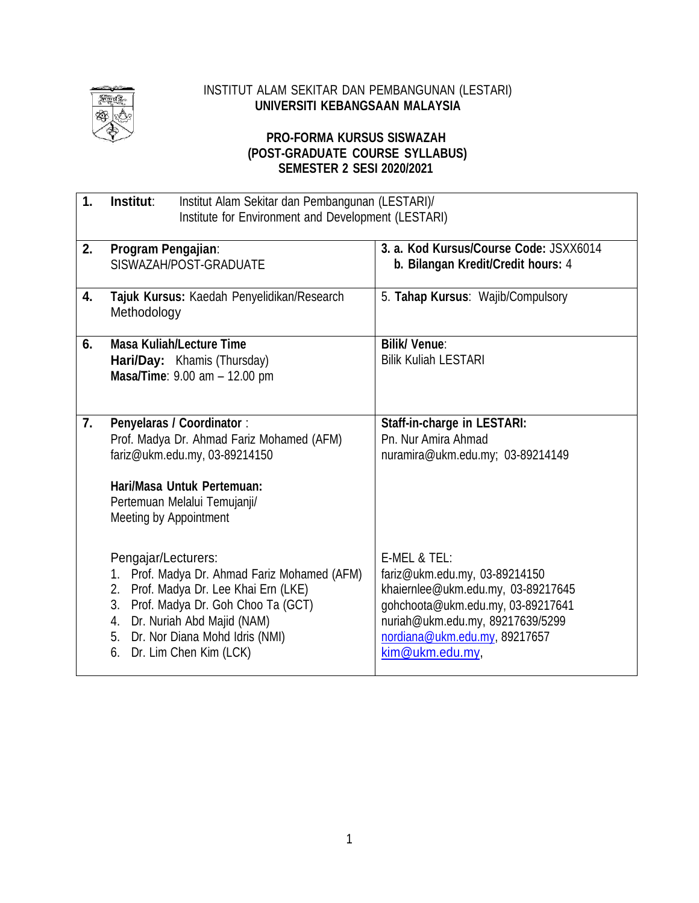

#### INSTITUT ALAM SEKITAR DAN PEMBANGUNAN (LESTARI) **UNIVERSITI KEBANGSAAN MALAYSIA**

### **PRO-FORMA KURSUS SISWAZAH (POST-GRADUATE COURSE SYLLABUS) SEMESTER 2 SESI 2020/2021**

| 1. | Institut:<br>Institut Alam Sekitar dan Pembangunan (LESTARI)/<br>Institute for Environment and Development (LESTARI)                                                                                                                                          |                                                                                                                                                                                                                  |  |
|----|---------------------------------------------------------------------------------------------------------------------------------------------------------------------------------------------------------------------------------------------------------------|------------------------------------------------------------------------------------------------------------------------------------------------------------------------------------------------------------------|--|
| 2. | Program Pengajian:<br>SISWAZAH/POST-GRADUATE                                                                                                                                                                                                                  | 3. a. Kod Kursus/Course Code: JSXX6014<br>b. Bilangan Kredit/Credit hours: 4                                                                                                                                     |  |
| 4. | Tajuk Kursus: Kaedah Penyelidikan/Research<br>Methodology                                                                                                                                                                                                     | 5. Tahap Kursus: Wajib/Compulsory                                                                                                                                                                                |  |
| 6. | <b>Masa Kuliah/Lecture Time</b><br>Hari/Day: Khamis (Thursday)<br>Masa/Time: 9.00 am - 12.00 pm                                                                                                                                                               | <b>Bilik/ Venue:</b><br><b>Bilik Kuliah LESTARI</b>                                                                                                                                                              |  |
| 7. | <b>Penyelaras / Coordinator:</b><br>Prof. Madya Dr. Ahmad Fariz Mohamed (AFM)<br>fariz@ukm.edu.my, 03-89214150<br>Hari/Masa Untuk Pertemuan:<br>Pertemuan Melalui Temujanji/<br>Meeting by Appointment                                                        | Staff-in-charge in LESTARI:<br>Pn. Nur Amira Ahmad<br>nuramira@ukm.edu.my; 03-89214149                                                                                                                           |  |
|    | Pengajar/Lecturers:<br>Prof. Madya Dr. Ahmad Fariz Mohamed (AFM)<br>1.<br>Prof. Madya Dr. Lee Khai Ern (LKE)<br>2.<br>3. Prof. Madya Dr. Goh Choo Ta (GCT)<br>4. Dr. Nuriah Abd Majid (NAM)<br>5. Dr. Nor Diana Mohd Idris (NMI)<br>6. Dr. Lim Chen Kim (LCK) | E-MEL & TEL:<br>fariz@ukm.edu.my, 03-89214150<br>khaiernlee@ukm.edu.my, 03-89217645<br>gohchoota@ukm.edu.my, 03-89217641<br>nuriah@ukm.edu.my, 89217639/5299<br>nordiana@ukm.edu.my, 89217657<br>kim@ukm.edu.my, |  |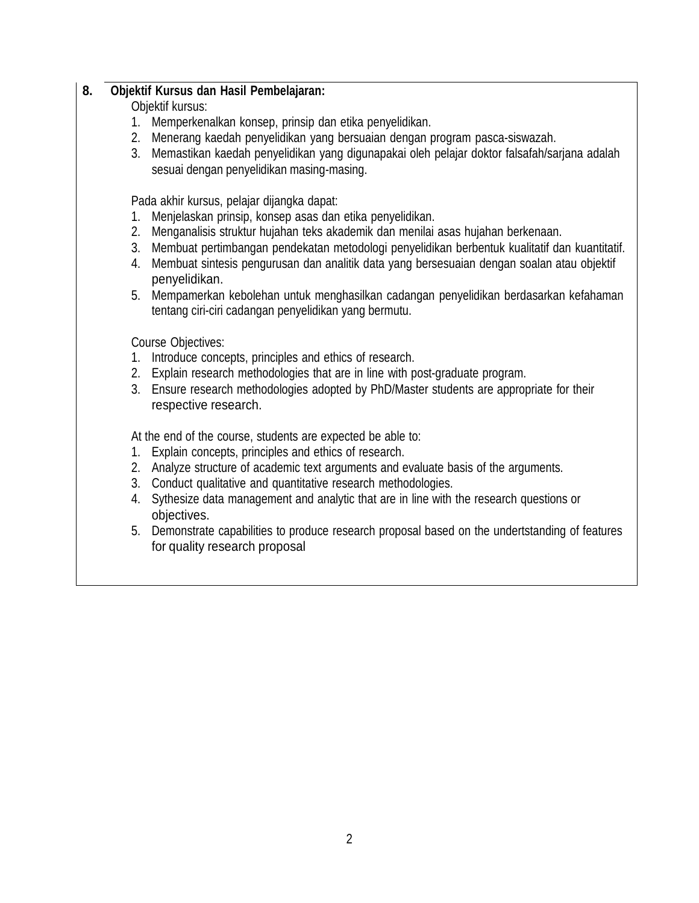## **8. Objektif Kursus dan Hasil Pembelajaran:**

### Objektif kursus:

- 1. Memperkenalkan konsep, prinsip dan etika penyelidikan.
- 2. Menerang kaedah penyelidikan yang bersuaian dengan program pasca-siswazah.
- 3. Memastikan kaedah penyelidikan yang digunapakai oleh pelajar doktor falsafah/sarjana adalah sesuai dengan penyelidikan masing-masing.

Pada akhir kursus, pelajar dijangka dapat:

- 1. Menjelaskan prinsip, konsep asas dan etika penyelidikan.
- 2. Menganalisis struktur hujahan teks akademik dan menilai asas hujahan berkenaan.
- 3. Membuat pertimbangan pendekatan metodologi penyelidikan berbentuk kualitatif dan kuantitatif.
- 4. Membuat sintesis pengurusan dan analitik data yang bersesuaian dengan soalan atau objektif penyelidikan.
- 5. Mempamerkan kebolehan untuk menghasilkan cadangan penyelidikan berdasarkan kefahaman tentang ciri-ciri cadangan penyelidikan yang bermutu.

Course Objectives:

- 1. Introduce concepts, principles and ethics of research.
- 2. Explain research methodologies that are in line with post-graduate program.
- 3. Ensure research methodologies adopted by PhD/Master students are appropriate for their respective research.

At the end of the course, students are expected be able to:

- 1. Explain concepts, principles and ethics of research.
- 2. Analyze structure of academic text arguments and evaluate basis of the arguments.
- 3. Conduct qualitative and quantitative research methodologies.
- 4. Sythesize data management and analytic that are in line with the research questions or objectives.
- 5. Demonstrate capabilities to produce research proposal based on the undertstanding of features for quality research proposal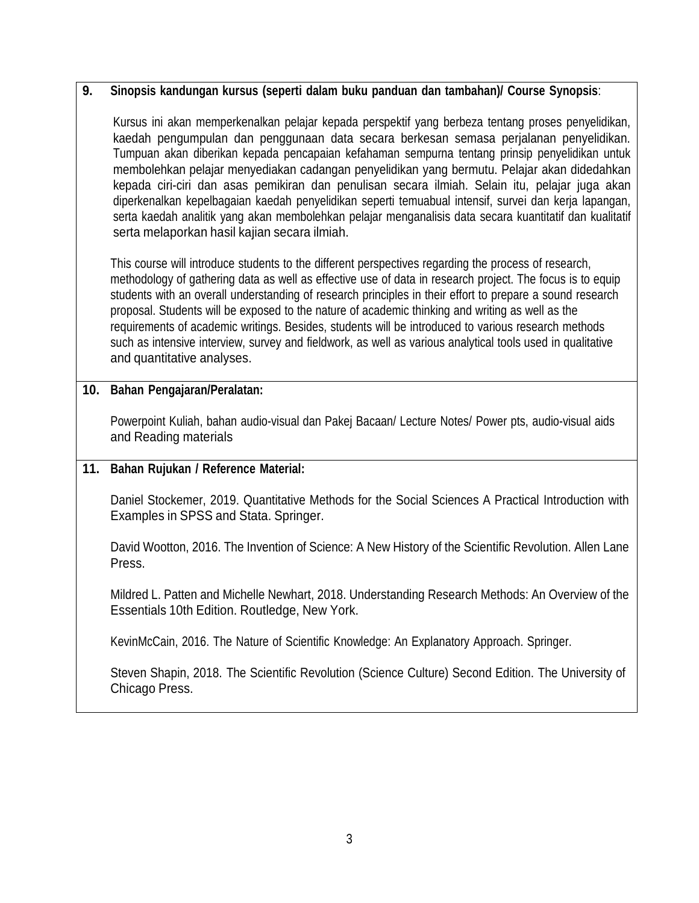## **9. Sinopsis kandungan kursus (seperti dalam buku panduan dan tambahan)/ Course Synopsis**:

Kursus ini akan memperkenalkan pelajar kepada perspektif yang berbeza tentang proses penyelidikan, kaedah pengumpulan dan penggunaan data secara berkesan semasa perjalanan penyelidikan. Tumpuan akan diberikan kepada pencapaian kefahaman sempurna tentang prinsip penyelidikan untuk membolehkan pelajar menyediakan cadangan penyelidikan yang bermutu. Pelajar akan didedahkan kepada ciri-ciri dan asas pemikiran dan penulisan secara ilmiah. Selain itu, pelajar juga akan diperkenalkan kepelbagaian kaedah penyelidikan seperti temuabual intensif, survei dan kerja lapangan, serta kaedah analitik yang akan membolehkan pelajar menganalisis data secara kuantitatif dan kualitatif serta melaporkan hasil kajian secara ilmiah.

This course will introduce students to the different perspectives regarding the process of research, methodology of gathering data as well as effective use of data in research project. The focus is to equip students with an overall understanding of research principles in their effort to prepare a sound research proposal. Students will be exposed to the nature of academic thinking and writing as well as the requirements of academic writings. Besides, students will be introduced to various research methods such as intensive interview, survey and fieldwork, as well as various analytical tools used in qualitative and quantitative analyses.

## **10. Bahan Pengajaran/Peralatan:**

Powerpoint Kuliah, bahan audio-visual dan Pakej Bacaan/ Lecture Notes/ Power pts, audio-visual aids and Reading materials

# **11. Bahan Rujukan / Reference Material:**

Daniel Stockemer, 2019. Quantitative Methods for the Social Sciences A Practical Introduction with Examples in SPSS and Stata. Springer.

David Wootton, 2016. The Invention of Science: A New History of the Scientific Revolution. Allen Lane Press.

Mildred L. Patten and Michelle Newhart, 2018. Understanding Research Methods: An Overview of the Essentials 10th Edition. Routledge, New York.

KevinMcCain, 2016. The Nature of Scientific Knowledge: An Explanatory Approach. Springer.

Steven Shapin, 2018. The Scientific Revolution (Science Culture) Second Edition. The University of Chicago Press.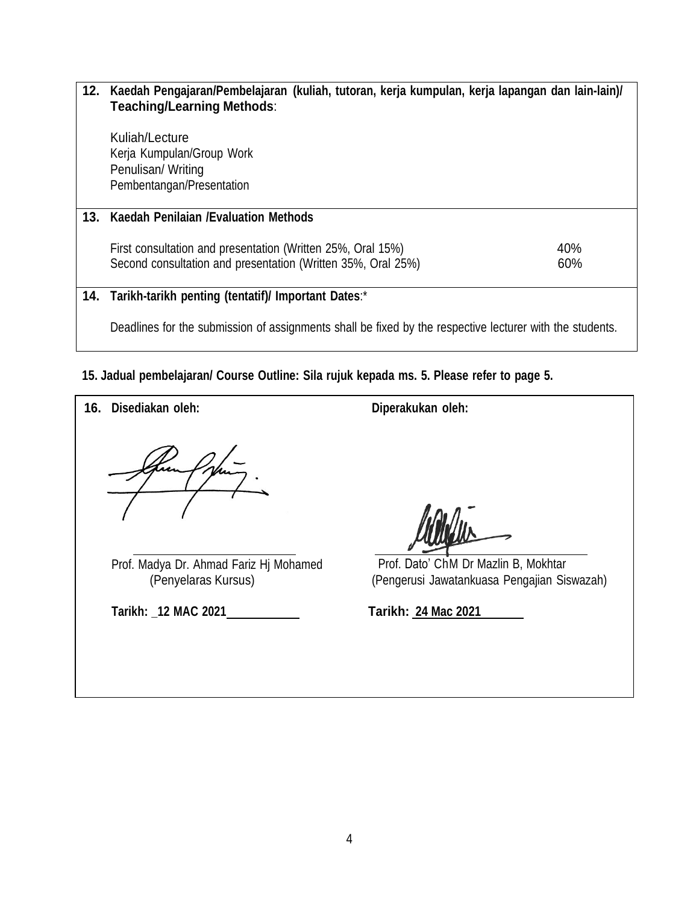# **12. Kaedah Pengajaran/Pembelajaran (kuliah, tutoran, kerja kumpulan, kerja lapangan dan lain-lain)/ Teaching/Learning Methods**: Kuliah/Lecture Kerja Kumpulan/Group Work Penulisan/ Writing Pembentangan/Presentation **13. Kaedah Penilaian /Evaluation Methods** First consultation and presentation (Written 25%, Oral 15%) 40% Second consultation and presentation (Written 35%, Oral 25%) 60% **14. Tarikh-tarikh penting (tentatif)/ Important Dates**:\*

Deadlines for the submission of assignments shall be fixed by the respective lecturer with the students.

# **15. Jadual pembelajaran/ Course Outline: Sila rujuk kepada ms. 5. Please refer to page 5.**

**16. Disediakan oleh: Diperakukan oleh:** Prof. Madya Dr. Ahmad Fariz Hj Mohamed (Penyelaras Kursus) Prof. Dato' ChM Dr Mazlin B, Mokhtar (Pengerusi Jawatankuasa Pengajian Siswazah) **Tarikh: \_12 MAC 2021 Tarikh: 24 Mac 2021**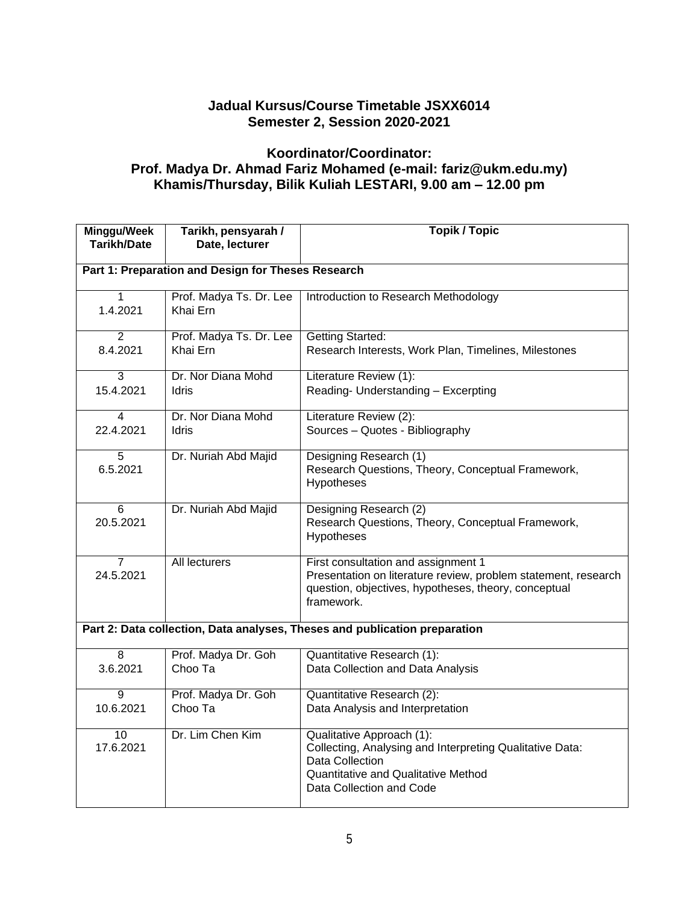# **Jadual Kursus/Course Timetable JSXX6014 Semester 2, Session 2020-2021**

## **Koordinator/Coordinator: Prof. Madya Dr. Ahmad Fariz Mohamed (e-mail: fariz@ukm.edu.my) Khamis/Thursday, Bilik Kuliah LESTARI, 9.00 am – 12.00 pm**

| Minggu/Week<br>Tarikh/Date                                                 | Tarikh, pensyarah /<br>Date, lecturer | <b>Topik / Topic</b>                                                                                                                                                               |  |  |
|----------------------------------------------------------------------------|---------------------------------------|------------------------------------------------------------------------------------------------------------------------------------------------------------------------------------|--|--|
| Part 1: Preparation and Design for Theses Research                         |                                       |                                                                                                                                                                                    |  |  |
| 1<br>1.4.2021                                                              | Prof. Madya Ts. Dr. Lee<br>Khai Ern   | Introduction to Research Methodology                                                                                                                                               |  |  |
| $\overline{2}$<br>8.4.2021                                                 | Prof. Madya Ts. Dr. Lee<br>Khai Ern   | <b>Getting Started:</b><br>Research Interests, Work Plan, Timelines, Milestones                                                                                                    |  |  |
| 3<br>15.4.2021                                                             | Dr. Nor Diana Mohd<br>Idris           | Literature Review (1):<br>Reading- Understanding - Excerpting                                                                                                                      |  |  |
| 4<br>22.4.2021                                                             | Dr. Nor Diana Mohd<br><b>Idris</b>    | Literature Review (2):<br>Sources - Quotes - Bibliography                                                                                                                          |  |  |
| 5<br>6.5.2021                                                              | Dr. Nuriah Abd Majid                  | Designing Research (1)<br>Research Questions, Theory, Conceptual Framework,<br>Hypotheses                                                                                          |  |  |
| 6<br>20.5.2021                                                             | Dr. Nuriah Abd Majid                  | Designing Research (2)<br>Research Questions, Theory, Conceptual Framework,<br>Hypotheses                                                                                          |  |  |
| 7<br>24.5.2021                                                             | <b>All lecturers</b>                  | First consultation and assignment 1<br>Presentation on literature review, problem statement, research<br>question, objectives, hypotheses, theory, conceptual<br>framework.        |  |  |
| Part 2: Data collection, Data analyses, Theses and publication preparation |                                       |                                                                                                                                                                                    |  |  |
| 8<br>3.6.2021                                                              | Prof. Madya Dr. Goh<br>Choo Ta        | Quantitative Research (1):<br>Data Collection and Data Analysis                                                                                                                    |  |  |
| 9<br>10.6.2021                                                             | Prof. Madya Dr. Goh<br>Choo Ta        | <b>Quantitative Research (2):</b><br>Data Analysis and Interpretation                                                                                                              |  |  |
| $\overline{10}$<br>17.6.2021                                               | Dr. Lim Chen Kim                      | Qualitative Approach (1):<br>Collecting, Analysing and Interpreting Qualitative Data:<br>Data Collection<br><b>Quantitative and Qualitative Method</b><br>Data Collection and Code |  |  |